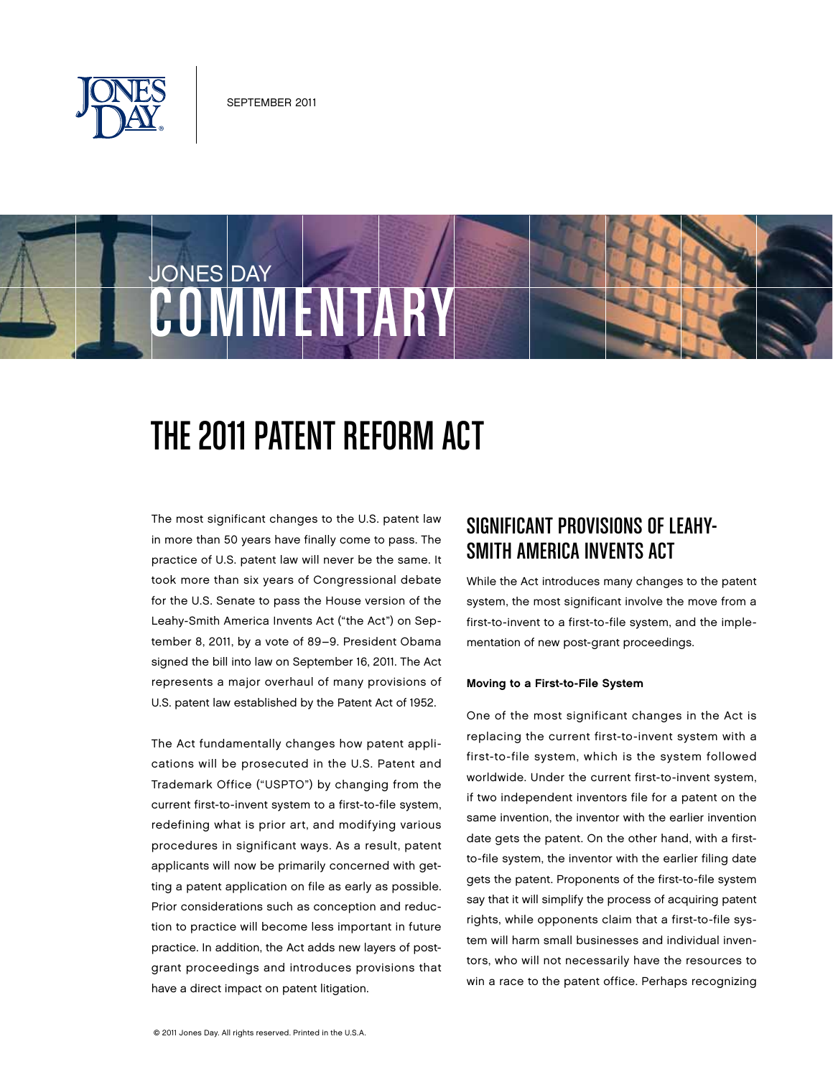

JONES DAY

# The 2011 Patent Reform Act

**COMMENTARY** 

The most significant changes to the U.S. patent law in more than 50 years have finally come to pass. The practice of U.S. patent law will never be the same. It took more than six years of Congressional debate for the U.S. Senate to pass the House version of the Leahy-Smith America Invents Act ("the Act") on September 8, 2011, by a vote of 89–9. President Obama signed the bill into law on September 16, 2011. The Act represents a major overhaul of many provisions of U.S. patent law established by the Patent Act of 1952.

The Act fundamentally changes how patent applications will be prosecuted in the U.S. Patent and Trademark Office ("USPTO") by changing from the current first-to-invent system to a first-to-file system, redefining what is prior art, and modifying various procedures in significant ways. As a result, patent applicants will now be primarily concerned with getting a patent application on file as early as possible. Prior considerations such as conception and reduction to practice will become less important in future practice. In addition, the Act adds new layers of postgrant proceedings and introduces provisions that have a direct impact on patent litigation.

# SIGNIFICANT PROVISIONS OF LEAHY-SMITH AMERICA INVENTS ACT

While the Act introduces many changes to the patent system, the most significant involve the move from a first-to-invent to a first-to-file system, and the implementation of new post-grant proceedings.

#### Moving to a First-to-File System

One of the most significant changes in the Act is replacing the current first-to-invent system with a first-to-file system, which is the system followed worldwide. Under the current first-to-invent system, if two independent inventors file for a patent on the same invention, the inventor with the earlier invention date gets the patent. On the other hand, with a firstto-file system, the inventor with the earlier filing date gets the patent. Proponents of the first-to-file system say that it will simplify the process of acquiring patent rights, while opponents claim that a first-to-file system will harm small businesses and individual inventors, who will not necessarily have the resources to win a race to the patent office. Perhaps recognizing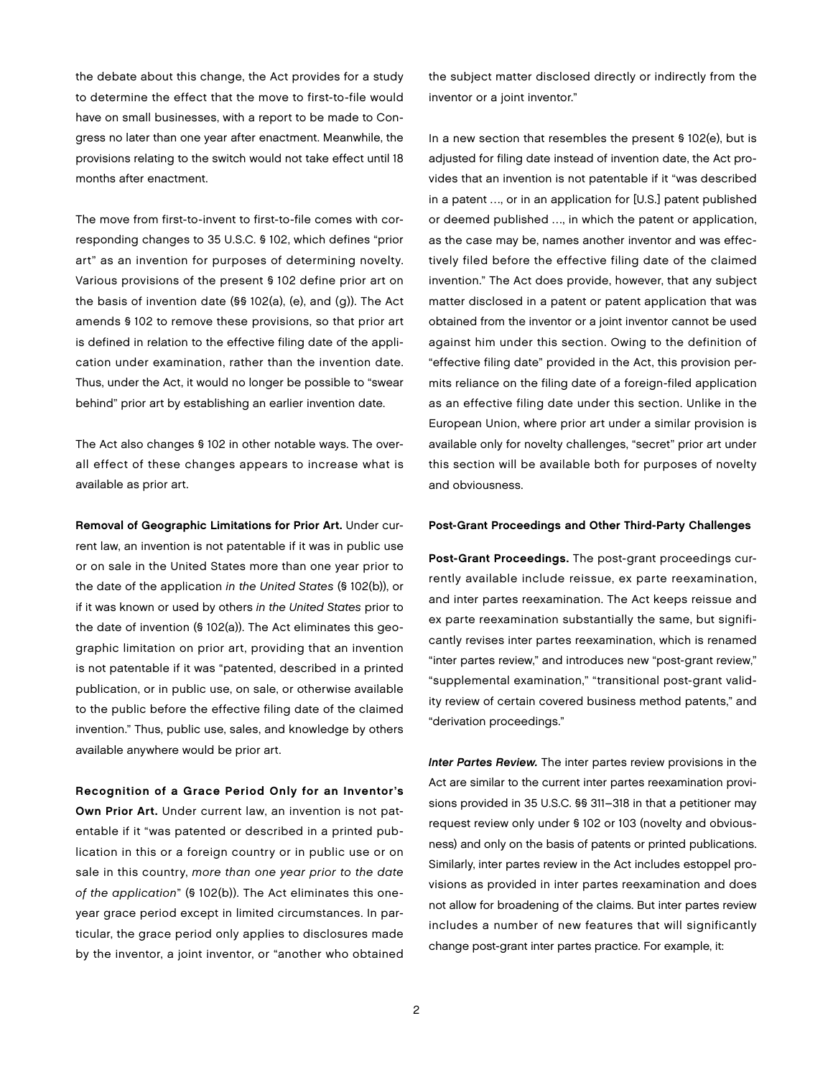the debate about this change, the Act provides for a study to determine the effect that the move to first-to-file would have on small businesses, with a report to be made to Congress no later than one year after enactment. Meanwhile, the provisions relating to the switch would not take effect until 18 months after enactment.

The move from first-to-invent to first-to-file comes with corresponding changes to 35 U.S.C. § 102, which defines "prior art" as an invention for purposes of determining novelty. Various provisions of the present § 102 define prior art on the basis of invention date (§§ 102(a), (e), and (g)). The Act amends § 102 to remove these provisions, so that prior art is defined in relation to the effective filing date of the application under examination, rather than the invention date. Thus, under the Act, it would no longer be possible to "swear behind" prior art by establishing an earlier invention date.

The Act also changes § 102 in other notable ways. The overall effect of these changes appears to increase what is available as prior art.

Removal of Geographic Limitations for Prior Art. Under current law, an invention is not patentable if it was in public use or on sale in the United States more than one year prior to the date of the application in the United States (§ 102(b)), or if it was known or used by others in the United States prior to the date of invention (§ 102(a)). The Act eliminates this geographic limitation on prior art, providing that an invention is not patentable if it was "patented, described in a printed publication, or in public use, on sale, or otherwise available to the public before the effective filing date of the claimed invention." Thus, public use, sales, and knowledge by others available anywhere would be prior art.

Recognition of a Grace Period Only for an Inventor's Own Prior Art. Under current law, an invention is not patentable if it "was patented or described in a printed publication in this or a foreign country or in public use or on sale in this country, more than one year prior to the date of the application" (§ 102(b)). The Act eliminates this oneyear grace period except in limited circumstances. In particular, the grace period only applies to disclosures made by the inventor, a joint inventor, or "another who obtained

the subject matter disclosed directly or indirectly from the inventor or a joint inventor."

In a new section that resembles the present § 102(e), but is adjusted for filing date instead of invention date, the Act provides that an invention is not patentable if it "was described in a patent …, or in an application for [U.S.] patent published or deemed published …, in which the patent or application, as the case may be, names another inventor and was effectively filed before the effective filing date of the claimed invention." The Act does provide, however, that any subject matter disclosed in a patent or patent application that was obtained from the inventor or a joint inventor cannot be used against him under this section. Owing to the definition of "effective filing date" provided in the Act, this provision permits reliance on the filing date of a foreign-filed application as an effective filing date under this section. Unlike in the European Union, where prior art under a similar provision is available only for novelty challenges, "secret" prior art under this section will be available both for purposes of novelty and obviousness.

#### Post-Grant Proceedings and Other Third-Party Challenges

Post-Grant Proceedings. The post-grant proceedings currently available include reissue, ex parte reexamination, and inter partes reexamination. The Act keeps reissue and ex parte reexamination substantially the same, but significantly revises inter partes reexamination, which is renamed "inter partes review," and introduces new "post-grant review," "supplemental examination," "transitional post-grant validity review of certain covered business method patents," and "derivation proceedings."

Inter Partes Review. The inter partes review provisions in the Act are similar to the current inter partes reexamination provisions provided in 35 U.S.C. §§ 311–318 in that a petitioner may request review only under § 102 or 103 (novelty and obviousness) and only on the basis of patents or printed publications. Similarly, inter partes review in the Act includes estoppel provisions as provided in inter partes reexamination and does not allow for broadening of the claims. But inter partes review includes a number of new features that will significantly change post-grant inter partes practice. For example, it: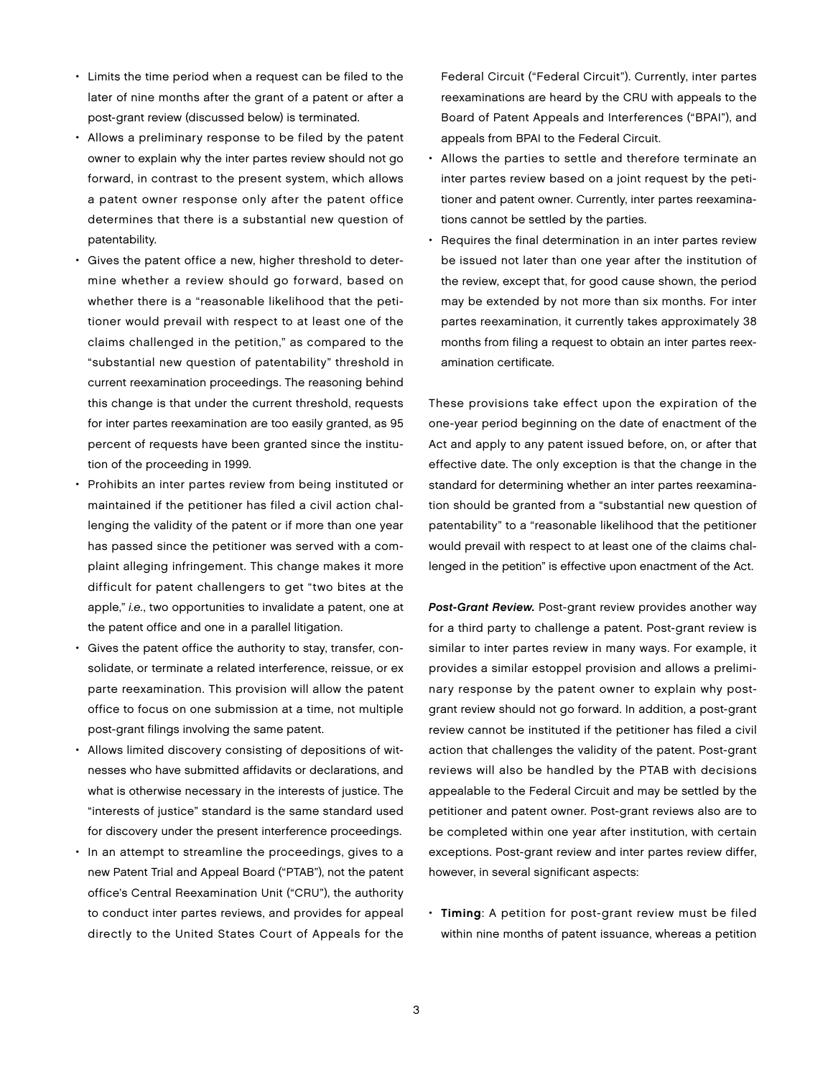- Limits the time period when a request can be filed to the later of nine months after the grant of a patent or after a post-grant review (discussed below) is terminated.
- Allows a preliminary response to be filed by the patent owner to explain why the inter partes review should not go forward, in contrast to the present system, which allows a patent owner response only after the patent office determines that there is a substantial new question of patentability.
- Gives the patent office a new, higher threshold to determine whether a review should go forward, based on whether there is a "reasonable likelihood that the petitioner would prevail with respect to at least one of the claims challenged in the petition," as compared to the "substantial new question of patentability" threshold in current reexamination proceedings. The reasoning behind this change is that under the current threshold, requests for inter partes reexamination are too easily granted, as 95 percent of requests have been granted since the institution of the proceeding in 1999.
- Prohibits an inter partes review from being instituted or maintained if the petitioner has filed a civil action challenging the validity of the patent or if more than one year has passed since the petitioner was served with a complaint alleging infringement. This change makes it more difficult for patent challengers to get "two bites at the apple," i.e., two opportunities to invalidate a patent, one at the patent office and one in a parallel litigation.
- Gives the patent office the authority to stay, transfer, consolidate, or terminate a related interference, reissue, or ex parte reexamination. This provision will allow the patent office to focus on one submission at a time, not multiple post-grant filings involving the same patent.
- Allows limited discovery consisting of depositions of witnesses who have submitted affidavits or declarations, and what is otherwise necessary in the interests of justice. The "interests of justice" standard is the same standard used for discovery under the present interference proceedings.
- In an attempt to streamline the proceedings, gives to a new Patent Trial and Appeal Board ("PTAB"), not the patent office's Central Reexamination Unit ("CRU"), the authority to conduct inter partes reviews, and provides for appeal directly to the United States Court of Appeals for the

Federal Circuit ("Federal Circuit"). Currently, inter partes reexaminations are heard by the CRU with appeals to the Board of Patent Appeals and Interferences ("BPAI"), and appeals from BPAI to the Federal Circuit.

- Allows the parties to settle and therefore terminate an inter partes review based on a joint request by the petitioner and patent owner. Currently, inter partes reexaminations cannot be settled by the parties.
- Requires the final determination in an inter partes review be issued not later than one year after the institution of the review, except that, for good cause shown, the period may be extended by not more than six months. For inter partes reexamination, it currently takes approximately 38 months from filing a request to obtain an inter partes reexamination certificate.

These provisions take effect upon the expiration of the one-year period beginning on the date of enactment of the Act and apply to any patent issued before, on, or after that effective date. The only exception is that the change in the standard for determining whether an inter partes reexamination should be granted from a "substantial new question of patentability" to a "reasonable likelihood that the petitioner would prevail with respect to at least one of the claims challenged in the petition" is effective upon enactment of the Act.

Post-Grant Review. Post-grant review provides another way for a third party to challenge a patent. Post-grant review is similar to inter partes review in many ways. For example, it provides a similar estoppel provision and allows a preliminary response by the patent owner to explain why postgrant review should not go forward. In addition, a post-grant review cannot be instituted if the petitioner has filed a civil action that challenges the validity of the patent. Post-grant reviews will also be handled by the PTAB with decisions appealable to the Federal Circuit and may be settled by the petitioner and patent owner. Post-grant reviews also are to be completed within one year after institution, with certain exceptions. Post-grant review and inter partes review differ, however, in several significant aspects:

• Timing: A petition for post-grant review must be filed within nine months of patent issuance, whereas a petition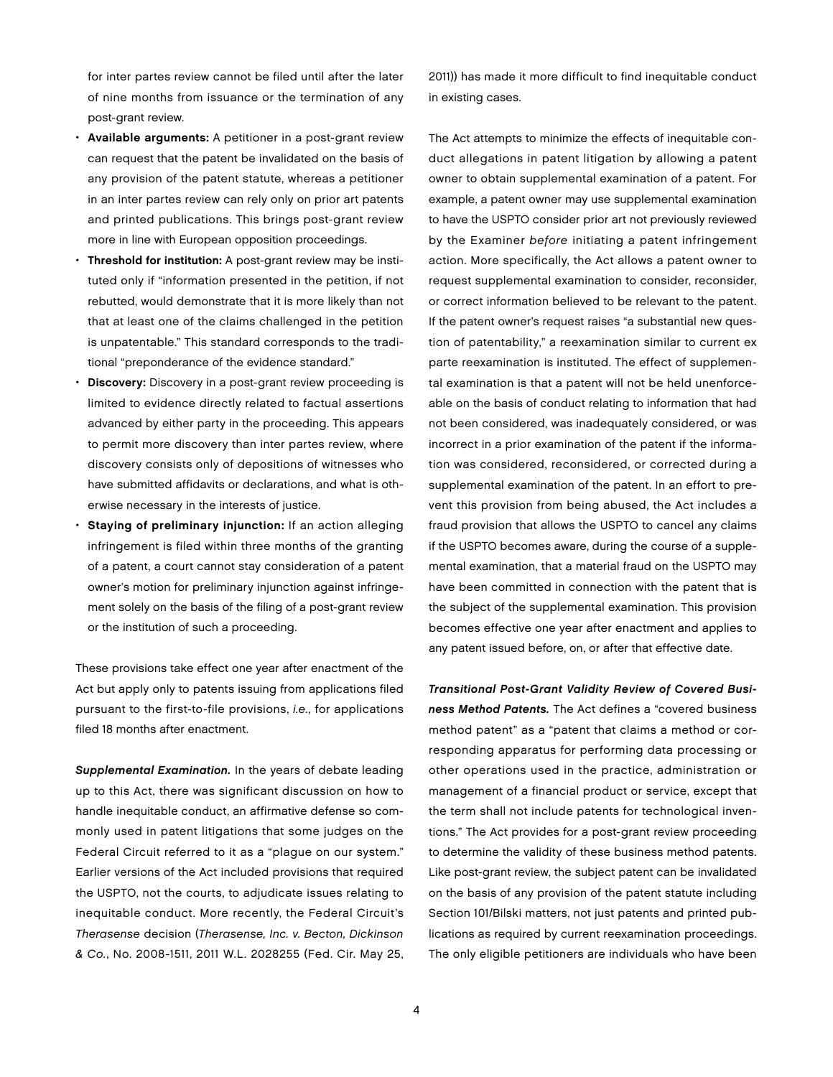for inter partes review cannot be filed until after the later of nine months from issuance or the termination of any post-grant review.

- Available arguments: A petitioner in a post-grant review can request that the patent be invalidated on the basis of any provision of the patent statute, whereas a petitioner in an inter partes review can rely only on prior art patents and printed publications. This brings post-grant review more in line with European opposition proceedings.
- Threshold for institution: A post-grant review may be instituted only if "information presented in the petition, if not rebutted, would demonstrate that it is more likely than not that at least one of the claims challenged in the petition is unpatentable." This standard corresponds to the traditional "preponderance of the evidence standard."
- Discovery: Discovery in a post-grant review proceeding is limited to evidence directly related to factual assertions advanced by either party in the proceeding. This appears to permit more discovery than inter partes review, where discovery consists only of depositions of witnesses who have submitted affidavits or declarations, and what is otherwise necessary in the interests of justice.
- Staying of preliminary injunction: If an action alleging infringement is filed within three months of the granting of a patent, a court cannot stay consideration of a patent owner's motion for preliminary injunction against infringement solely on the basis of the filing of a post-grant review or the institution of such a proceeding.

These provisions take effect one year after enactment of the Act but apply only to patents issuing from applications filed pursuant to the first-to-file provisions, i.e., for applications filed 18 months after enactment.

Supplemental Examination. In the years of debate leading up to this Act, there was significant discussion on how to handle inequitable conduct, an affirmative defense so commonly used in patent litigations that some judges on the Federal Circuit referred to it as a "plague on our system." Earlier versions of the Act included provisions that required the USPTO, not the courts, to adjudicate issues relating to inequitable conduct. More recently, the Federal Circuit's Therasense decision (Therasense, Inc. v. Becton, Dickinson & Co., No. 2008-1511, 2011 W.L. 2028255 (Fed. Cir. May 25, 2011)) has made it more difficult to find inequitable conduct in existing cases.

The Act attempts to minimize the effects of inequitable conduct allegations in patent litigation by allowing a patent owner to obtain supplemental examination of a patent. For example, a patent owner may use supplemental examination to have the USPTO consider prior art not previously reviewed by the Examiner before initiating a patent infringement action. More specifically, the Act allows a patent owner to request supplemental examination to consider, reconsider, or correct information believed to be relevant to the patent. If the patent owner's request raises "a substantial new question of patentability," a reexamination similar to current ex parte reexamination is instituted. The effect of supplemental examination is that a patent will not be held unenforceable on the basis of conduct relating to information that had not been considered, was inadequately considered, or was incorrect in a prior examination of the patent if the information was considered, reconsidered, or corrected during a supplemental examination of the patent. In an effort to prevent this provision from being abused, the Act includes a fraud provision that allows the USPTO to cancel any claims if the USPTO becomes aware, during the course of a supplemental examination, that a material fraud on the USPTO may have been committed in connection with the patent that is the subject of the supplemental examination. This provision becomes effective one year after enactment and applies to any patent issued before, on, or after that effective date.

Transitional Post-Grant Validity Review of Covered Business Method Patents. The Act defines a "covered business method patent" as a "patent that claims a method or corresponding apparatus for performing data processing or other operations used in the practice, administration or management of a financial product or service, except that the term shall not include patents for technological inventions." The Act provides for a post-grant review proceeding to determine the validity of these business method patents. Like post-grant review, the subject patent can be invalidated on the basis of any provision of the patent statute including Section 101/Bilski matters, not just patents and printed publications as required by current reexamination proceedings. The only eligible petitioners are individuals who have been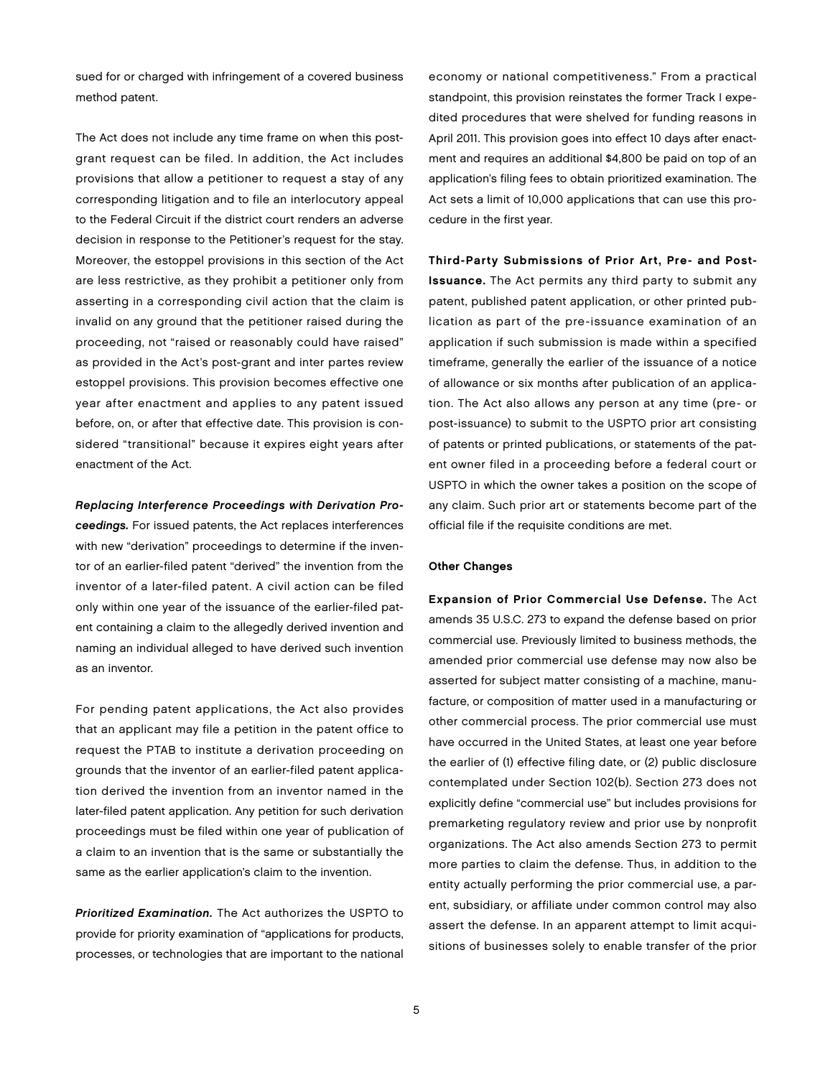sued for or charged with infringement of a covered business method patent.

The Act does not include any time frame on when this postgrant request can be filed. In addition, the Act includes provisions that allow a petitioner to request a stay of any corresponding litigation and to file an interlocutory appeal to the Federal Circuit if the district court renders an adverse decision in response to the Petitioner's request for the stay. Moreover, the estoppel provisions in this section of the Act are less restrictive, as they prohibit a petitioner only from asserting in a corresponding civil action that the claim is invalid on any ground that the petitioner raised during the proceeding, not "raised or reasonably could have raised" as provided in the Act's post-grant and inter partes review estoppel provisions. This provision becomes effective one year after enactment and applies to any patent issued before, on, or after that effective date. This provision is considered "transitional" because it expires eight years after enactment of the Act.

Replacing Interference Proceedings with Derivation Proceedings. For issued patents, the Act replaces interferences with new "derivation" proceedings to determine if the inventor of an earlier-filed patent "derived" the invention from the inventor of a later-filed patent. A civil action can be filed only within one year of the issuance of the earlier-filed patent containing a claim to the allegedly derived invention and naming an individual alleged to have derived such invention as an inventor.

For pending patent applications, the Act also provides that an applicant may file a petition in the patent office to request the PTAB to institute a derivation proceeding on grounds that the inventor of an earlier-filed patent application derived the invention from an inventor named in the later-filed patent application. Any petition for such derivation proceedings must be filed within one year of publication of a claim to an invention that is the same or substantially the same as the earlier application's claim to the invention.

Prioritized Examination. The Act authorizes the USPTO to provide for priority examination of "applications for products, processes, or technologies that are important to the national economy or national competitiveness." From a practical standpoint, this provision reinstates the former Track I expedited procedures that were shelved for funding reasons in April 2011. This provision goes into effect 10 days after enactment and requires an additional \$4,800 be paid on top of an application's filing fees to obtain prioritized examination. The Act sets a limit of 10,000 applications that can use this procedure in the first year.

Third-Party Submissions of Prior Art, Pre- and Post-Issuance. The Act permits any third party to submit any patent, published patent application, or other printed publication as part of the pre-issuance examination of an application if such submission is made within a specified timeframe, generally the earlier of the issuance of a notice of allowance or six months after publication of an application. The Act also allows any person at any time (pre- or post-issuance) to submit to the USPTO prior art consisting of patents or printed publications, or statements of the patent owner filed in a proceeding before a federal court or USPTO in which the owner takes a position on the scope of any claim. Such prior art or statements become part of the official file if the requisite conditions are met.

#### Other Changes

Expansion of Prior Commercial Use Defense. The Act amends 35 U.S.C. 273 to expand the defense based on prior commercial use. Previously limited to business methods, the amended prior commercial use defense may now also be asserted for subject matter consisting of a machine, manufacture, or composition of matter used in a manufacturing or other commercial process. The prior commercial use must have occurred in the United States, at least one year before the earlier of (1) effective filing date, or (2) public disclosure contemplated under Section 102(b). Section 273 does not explicitly define "commercial use" but includes provisions for premarketing regulatory review and prior use by nonprofit organizations. The Act also amends Section 273 to permit more parties to claim the defense. Thus, in addition to the entity actually performing the prior commercial use, a parent, subsidiary, or affiliate under common control may also assert the defense. In an apparent attempt to limit acquisitions of businesses solely to enable transfer of the prior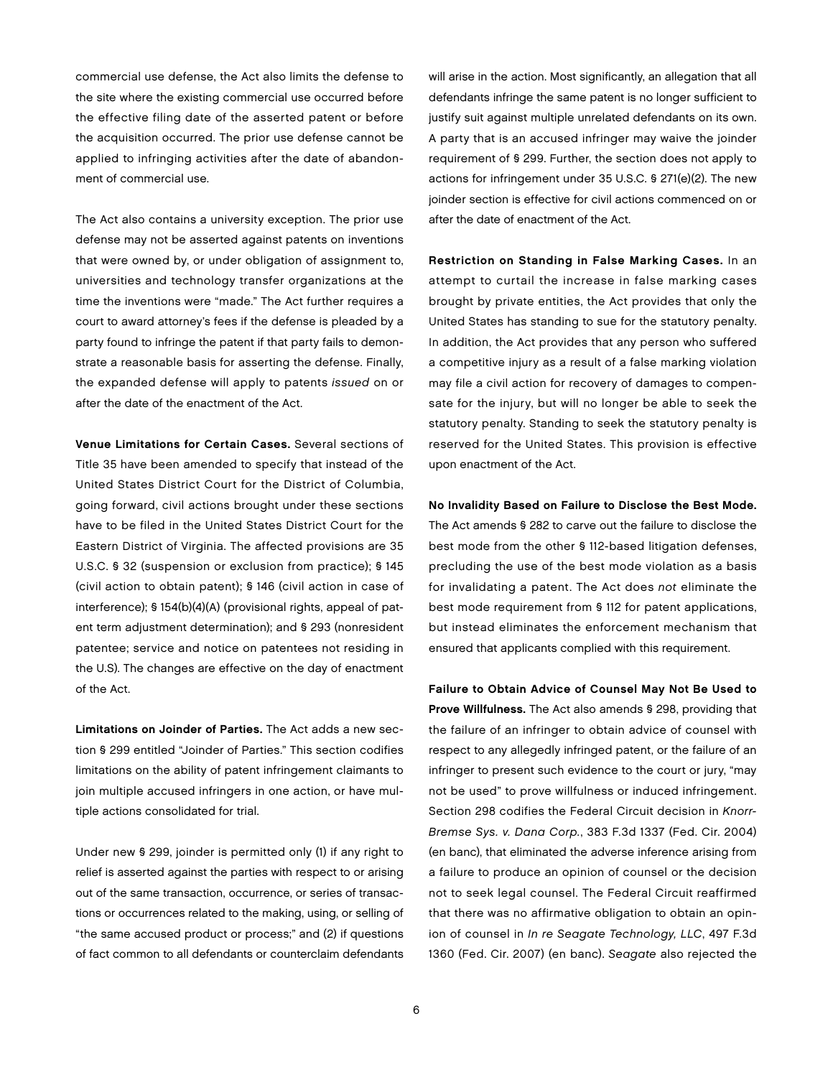commercial use defense, the Act also limits the defense to the site where the existing commercial use occurred before the effective filing date of the asserted patent or before the acquisition occurred. The prior use defense cannot be applied to infringing activities after the date of abandonment of commercial use.

The Act also contains a university exception. The prior use defense may not be asserted against patents on inventions that were owned by, or under obligation of assignment to, universities and technology transfer organizations at the time the inventions were "made." The Act further requires a court to award attorney's fees if the defense is pleaded by a party found to infringe the patent if that party fails to demonstrate a reasonable basis for asserting the defense. Finally, the expanded defense will apply to patents issued on or after the date of the enactment of the Act.

Venue Limitations for Certain Cases. Several sections of Title 35 have been amended to specify that instead of the United States District Court for the District of Columbia, going forward, civil actions brought under these sections have to be filed in the United States District Court for the Eastern District of Virginia. The affected provisions are 35 U.S.C. § 32 (suspension or exclusion from practice); § 145 (civil action to obtain patent); § 146 (civil action in case of interference); § 154(b)(4)(A) (provisional rights, appeal of patent term adjustment determination); and § 293 (nonresident patentee; service and notice on patentees not residing in the U.S). The changes are effective on the day of enactment of the Act.

Limitations on Joinder of Parties. The Act adds a new section § 299 entitled "Joinder of Parties." This section codifies limitations on the ability of patent infringement claimants to join multiple accused infringers in one action, or have multiple actions consolidated for trial.

Under new § 299, joinder is permitted only (1) if any right to relief is asserted against the parties with respect to or arising out of the same transaction, occurrence, or series of transactions or occurrences related to the making, using, or selling of "the same accused product or process;" and (2) if questions of fact common to all defendants or counterclaim defendants

will arise in the action. Most significantly, an allegation that all defendants infringe the same patent is no longer sufficient to justify suit against multiple unrelated defendants on its own. A party that is an accused infringer may waive the joinder requirement of § 299. Further, the section does not apply to actions for infringement under 35 U.S.C. § 271(e)(2). The new joinder section is effective for civil actions commenced on or after the date of enactment of the Act.

Restriction on Standing in False Marking Cases. In an attempt to curtail the increase in false marking cases brought by private entities, the Act provides that only the United States has standing to sue for the statutory penalty. In addition, the Act provides that any person who suffered a competitive injury as a result of a false marking violation may file a civil action for recovery of damages to compensate for the injury, but will no longer be able to seek the statutory penalty. Standing to seek the statutory penalty is reserved for the United States. This provision is effective upon enactment of the Act.

No Invalidity Based on Failure to Disclose the Best Mode. The Act amends § 282 to carve out the failure to disclose the best mode from the other § 112-based litigation defenses, precluding the use of the best mode violation as a basis for invalidating a patent. The Act does not eliminate the best mode requirement from § 112 for patent applications, but instead eliminates the enforcement mechanism that ensured that applicants complied with this requirement.

Failure to Obtain Advice of Counsel May Not Be Used to Prove Willfulness. The Act also amends § 298, providing that the failure of an infringer to obtain advice of counsel with respect to any allegedly infringed patent, or the failure of an infringer to present such evidence to the court or jury, "may not be used" to prove willfulness or induced infringement. Section 298 codifies the Federal Circuit decision in Knorr-Bremse Sys. v. Dana Corp., 383 F.3d 1337 (Fed. Cir. 2004) (en banc), that eliminated the adverse inference arising from a failure to produce an opinion of counsel or the decision not to seek legal counsel. The Federal Circuit reaffirmed that there was no affirmative obligation to obtain an opinion of counsel in In re Seagate Technology, LLC, 497 F.3d 1360 (Fed. Cir. 2007) (en banc). Seagate also rejected the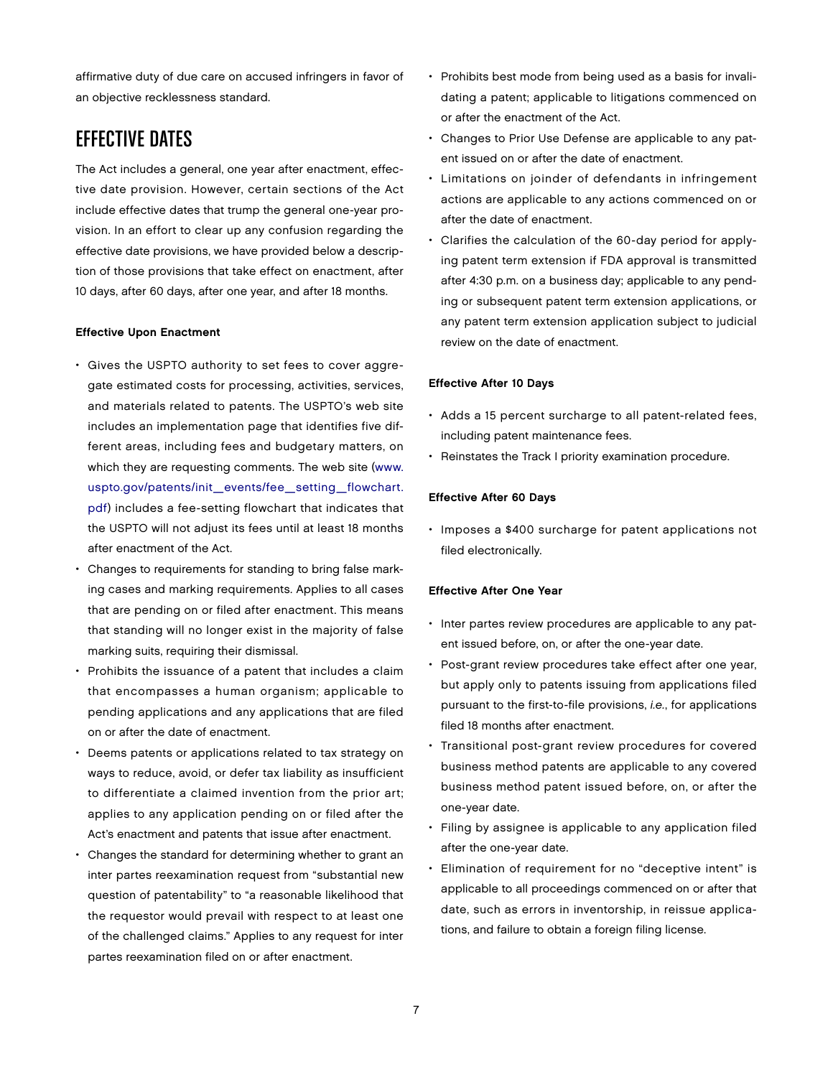affirmative duty of due care on accused infringers in favor of an objective recklessness standard.

# EFFECTIVE DATES

The Act includes a general, one year after enactment, effective date provision. However, certain sections of the Act include effective dates that trump the general one-year provision. In an effort to clear up any confusion regarding the effective date provisions, we have provided below a description of those provisions that take effect on enactment, after 10 days, after 60 days, after one year, and after 18 months.

#### Effective Upon Enactment

- Gives the USPTO authority to set fees to cover aggregate estimated costs for processing, activities, services, and materials related to patents. The USPTO's web site includes an implementation page that identifies five different areas, including fees and budgetary matters, on which they are requesting comments. The web site ([www.](http://www.uspto.gov/patents/init_events/fee_setting_flowchart.pdf) [uspto.gov/patents/init\\_events/fee\\_setting\\_flowchart.](http://www.uspto.gov/patents/init_events/fee_setting_flowchart.pdf) [pdf\) in](http://www.uspto.gov/patents/init_events/fee_setting_flowchart.pdf)cludes a fee-setting flowchart that indicates that the USPTO will not adjust its fees until at least 18 months after enactment of the Act.
- Changes to requirements for standing to bring false marking cases and marking requirements. Applies to all cases that are pending on or filed after enactment. This means that standing will no longer exist in the majority of false marking suits, requiring their dismissal.
- Prohibits the issuance of a patent that includes a claim that encompasses a human organism; applicable to pending applications and any applications that are filed on or after the date of enactment.
- Deems patents or applications related to tax strategy on ways to reduce, avoid, or defer tax liability as insufficient to differentiate a claimed invention from the prior art; applies to any application pending on or filed after the Act's enactment and patents that issue after enactment.
- Changes the standard for determining whether to grant an inter partes reexamination request from "substantial new question of patentability" to "a reasonable likelihood that the requestor would prevail with respect to at least one of the challenged claims." Applies to any request for inter partes reexamination filed on or after enactment.
- Prohibits best mode from being used as a basis for invalidating a patent; applicable to litigations commenced on or after the enactment of the Act.
- Changes to Prior Use Defense are applicable to any patent issued on or after the date of enactment.
- Limitations on joinder of defendants in infringement actions are applicable to any actions commenced on or after the date of enactment.
- Clarifies the calculation of the 60-day period for applying patent term extension if FDA approval is transmitted after 4:30 p.m. on a business day; applicable to any pending or subsequent patent term extension applications, or any patent term extension application subject to judicial review on the date of enactment.

#### Effective After 10 Days

- Adds a 15 percent surcharge to all patent-related fees, including patent maintenance fees.
- Reinstates the Track I priority examination procedure.

#### Effective After 60 Days

• Imposes a \$400 surcharge for patent applications not filed electronically.

### Effective After One Year

- Inter partes review procedures are applicable to any patent issued before, on, or after the one-year date.
- Post-grant review procedures take effect after one year, but apply only to patents issuing from applications filed pursuant to the first-to-file provisions, i.e., for applications filed 18 months after enactment.
- Transitional post-grant review procedures for covered business method patents are applicable to any covered business method patent issued before, on, or after the one-year date.
- Filing by assignee is applicable to any application filed after the one-year date.
- Elimination of requirement for no "deceptive intent" is applicable to all proceedings commenced on or after that date, such as errors in inventorship, in reissue applications, and failure to obtain a foreign filing license.